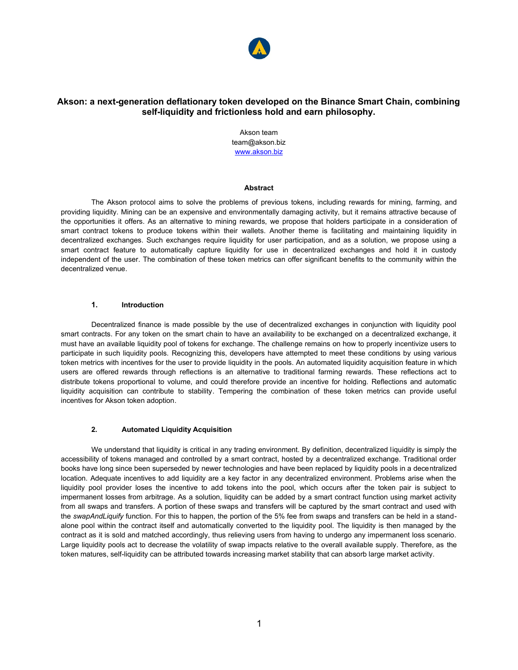

# **Akson: a next-generation deflationary token developed on the Binance Smart Chain, combining self-liquidity and frictionless hold and earn philosophy.**

Akson team team@akson.biz [www.akson.biz](http://www.akson.biz/)

#### **Abstract**

The Akson protocol aims to solve the problems of previous tokens, including rewards for mining, farming, and providing liquidity. Mining can be an expensive and environmentally damaging activity, but it remains attractive because of the opportunities it offers. As an alternative to mining rewards, we propose that holders participate in a consideration of smart contract tokens to produce tokens within their wallets. Another theme is facilitating and maintaining liquidity in decentralized exchanges. Such exchanges require liquidity for user participation, and as a solution, we propose using a smart contract feature to automatically capture liquidity for use in decentralized exchanges and hold it in custody independent of the user. The combination of these token metrics can offer significant benefits to the community within the decentralized venue.

### **1. Introduction**

Decentralized finance is made possible by the use of decentralized exchanges in conjunction with liquidity pool smart contracts. For any token on the smart chain to have an availability to be exchanged on a decentralized exchange, it must have an available liquidity pool of tokens for exchange. The challenge remains on how to properly incentivize users to participate in such liquidity pools. Recognizing this, developers have attempted to meet these conditions by using various token metrics with incentives for the user to provide liquidity in the pools. An automated liquidity acquisition feature in which users are offered rewards through reflections is an alternative to traditional farming rewards. These reflections act to distribute tokens proportional to volume, and could therefore provide an incentive for holding. Reflections and automatic liquidity acquisition can contribute to stability. Tempering the combination of these token metrics can provide useful incentives for Akson token adoption.

### **2. Automated Liquidity Acquisition**

We understand that liquidity is critical in any trading environment. By definition, decentralized liquidity is simply the accessibility of tokens managed and controlled by a smart contract, hosted by a decentralized exchange. Traditional order books have long since been superseded by newer technologies and have been replaced by liquidity pools in a decentralized location. Adequate incentives to add liquidity are a key factor in any decentralized environment. Problems arise when the liquidity pool provider loses the incentive to add tokens into the pool, which occurs after the token pair is subject to impermanent losses from arbitrage. As a solution, liquidity can be added by a smart contract function using market activity from all swaps and transfers. A portion of these swaps and transfers will be captured by the smart contract and used with the *swapAndLiquify* function. For this to happen, the portion of the 5% fee from swaps and transfers can be held in a standalone pool within the contract itself and automatically converted to the liquidity pool. The liquidity is then managed by the contract as it is sold and matched accordingly, thus relieving users from having to undergo any impermanent loss scenario. Large liquidity pools act to decrease the volatility of swap impacts relative to the overall available supply. Therefore, as the token matures, self-liquidity can be attributed towards increasing market stability that can absorb large market activity.